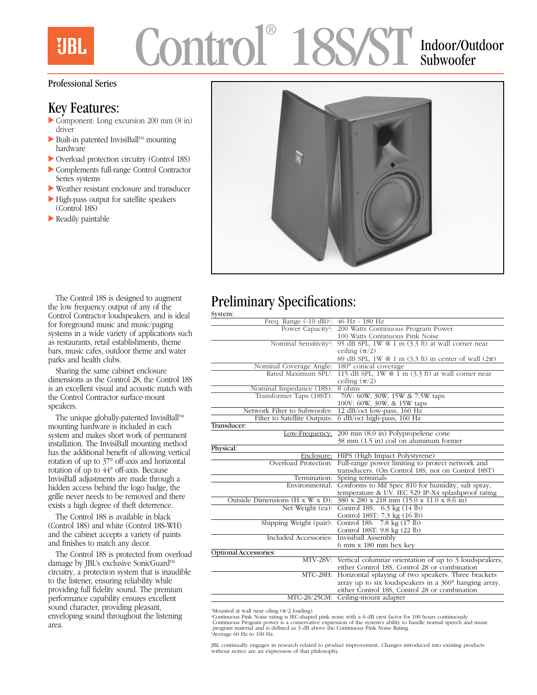**UBL** 

# mtro 18S/ST Indoor/Outdoor

# Subwoofer

#### Professional Series

### Key Features:

- $\triangleright$  Component: Long excursion 200 mm (8 in) driver
- $\blacktriangleright$  Built-in patented InvisiBall<sup>TM</sup> mounting hardware
- $\triangleright$  Overload protection circuitry (Control 18S)
- Complements full-range Control Contractor Series systems
- $\blacktriangleright$  Weather resistant enclosure and transducer
- $\blacktriangleright$  High-pass output for satellite speakers (Control 18S)
- $\blacktriangleright$  Readily paintable



#### The Control 18S is designed to augment the low frequency output of any of the Control Contractor loudspeakers, and is ideal for foreground music and music/paging systems in a wide variety of applications such as restaurants, retail establishments, theme bars, music cafes, outdoor theme and water parks and health clubs.

Sharing the same cabinet enclosure dimensions as the Control 28, the Control 18S is an excellent visual and acoustic match with the Control Contractor surface-mount speakers.

The unique globally-patented InvisiBall™ mounting hardware is included in each system and makes short work of permanent installation. The InvisiBall mounting method has the additional benefit of allowing vertical rotation of up to 37° off-axis and horizontal rotation of up to 44° off-axis. Because InvisiBall adjustments are made through a hidden access behind the logo badge, the grille never needs to be removed and there exists a high degree of theft deterrence.

The Control 18S is available in black (Control 18S) and white (Control 18S-WH) and the cabinet accepts a variety of paints and finishes to match any decor.

The Control 18S is protected from overload damage by JBL's exclusive SonicGuard™ circuitry, a protection system that is inaudible to the listener, ensuring reliability while providing full fidelity sound. The premium performance capability ensures excellent sound character, providing pleasant, enveloping sound throughout the listening area.

## Preliminary Specifications:

| System:                                            |                                                                  |
|----------------------------------------------------|------------------------------------------------------------------|
| Freq. Range (-10 dB) <sup>1</sup> : 46 Hz - 180 Hz |                                                                  |
|                                                    | Power Capacity <sup>2</sup> : 200 Watts Continuous Program Power |
|                                                    | 100 Watts Continuous Pink Noise                                  |
| Nominal Sensitivity <sup>3</sup> :                 | 95 dB SPL, 1W $@$ 1 m $(3.3 \text{ ft})$ at wall corner near     |
|                                                    | ceiling $(\pi/2)$                                                |
|                                                    | 89 dB SPL, 1W @ 1 m (3.3 ft) in center of wall $(2\pi)$          |
| Nominal Coverage Angle:                            | 180° conical coverage                                            |
| Rated Maximum SPL3:                                | 115 dB SPL, 1W @ 1 m (3.3 ft) at wall corner near                |
|                                                    | ceiling $(\pi/2)$                                                |
| Nominal Impedance (18S):                           | 8 ohms                                                           |
| Transformer Taps (18ST):                           | 70V: 60W, 30W, 15W & 7.5W taps                                   |
|                                                    | 100V: 60W, 30W, & 15W taps                                       |
| Network Filter to Subwoofer:                       | 12 dB/oct low-pass, 160 Hz                                       |
| Filter to Satellite Outputs:                       | 6 dB/oct high-pass, 160 Hz                                       |
| Transducer:                                        |                                                                  |
|                                                    | Low-Frequency: 200 mm (8.0 in) Polypropelene cone                |
|                                                    | 38 mm (1.5 in) coil on aluminum former                           |
| Physical:                                          |                                                                  |
|                                                    | Enclosure: HIPS (High Impact Polystyrene)                        |
| Overload Protection:                               | Full-range power limiting to protect network and                 |
|                                                    | transducers. (On Control 18S, not on Control 18ST)               |
| Termination:                                       | Spring terminals                                                 |
| Environmental:                                     | Conforms to Mil Spec 810 for humidity, salt spray,               |
|                                                    | temperature & UV. IEC 529 IP-X4 splashproof rating               |
| Outside Dimensions (H x W x D):                    | 380 x 280 x 218 mm (15.0 x 11.0 x 8.6 in)                        |
|                                                    | Net Weight (ea). Control 188: $6.3 \text{ kg} (14 \text{ lb})$   |
|                                                    | Control 18ST: 7.3 kg (16 lb)                                     |
| Shipping Weight (pair):                            | Control 188: 7.8 kg (17 lb)                                      |
|                                                    | Control 18ST: 9.8 kg (22 lb)                                     |
| Included Accessories: Invisiball Assembly          |                                                                  |
|                                                    | 6 mm x 180 mm hex key                                            |
| Optional Accessories:                              |                                                                  |
|                                                    | MTV-28V: Vertical columnar orientation of up to 3 loudspeakers,  |
|                                                    | either Control 18S, Control 28 or combination                    |
|                                                    | MTC-28H: Horizontal splaying of two speakers. Three brackets     |
|                                                    | array up to six loudspeakers in a $360^{\circ}$ hanging array,   |
|                                                    | either Control 18S, Control 28 or combination                    |
|                                                    | MTC-28/25CM: Ceiling-mount adapter                               |

'Mounted at wall near ciling  $(\pi/2 \text{ loading})$ 

<sup>2</sup>Continuous Pink Noise rating is IEC-shaped pink noise with a 6 dB crest factor for 100 hours continuously.<br>Continuous Program power is a conservative expression of the system's ability to handle normal speech and music<br> 3 Average 60 Hz to 100 Hz.

JBL continually engages in research related to product improvement. Changes introduced into existing products without notice are an expression of that philosophy.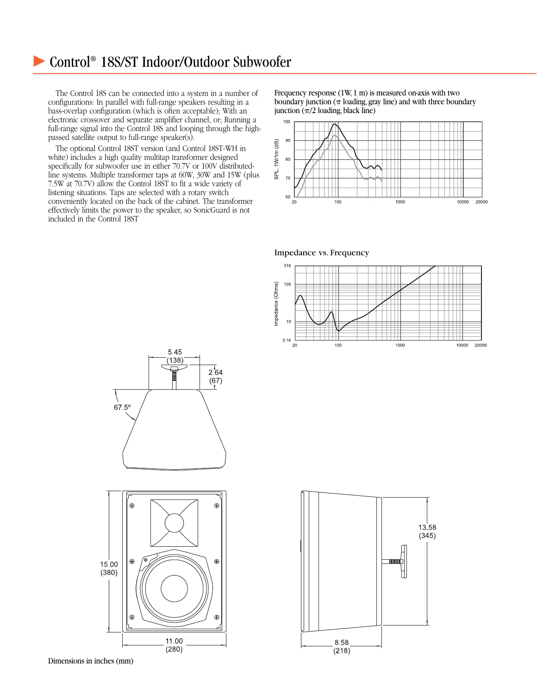## c Control® 18S/ST Indoor/Outdoor Subwoofer

The Control 18S can be connected into a system in a number of configurations: In parallel with full-range speakers resulting in a bass-overlap configuration (which is often acceptable); With an electronic crossover and separate amplifier channel, or; Running a full-range signal into the Control 18S and looping through the highpassed satellite output to full-range speaker(s).

The optional Control 18ST version (and Control 18ST-WH in white) includes a high quality multitap transformer designed specifically for subwoofer use in either 70.7V or 100V distributedline systems. Multiple transformer taps at 60W, 30W and 15W (plus 7.5W at 70.7V) allow the Control 18ST to fit a wide variety of listening situations. Taps are selected with a rotary switch conveniently located on the back of the cabinet. The transformer effectively limits the power to the speaker, so SonicGuard is not included in the Control 18ST

Frequency response (1W, 1 m) is measured on-axis with two boundary junction ( $\pi$  loading, gray line) and with three boundary junction  $(\pi/2 \text{ loading}, \text{black line})$ 









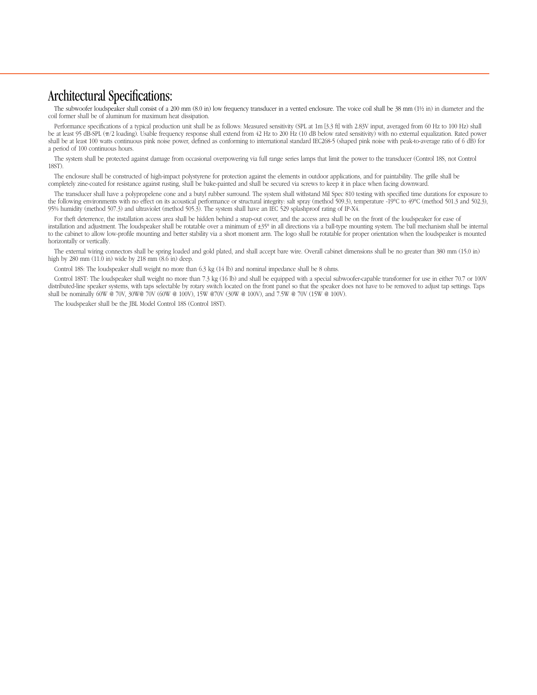### Architectural Specifications:

The subwoofer loudspeaker shall consist of a 200 mm (8.0 in) low frequency transducer in a vented enclosure. The voice coil shall be 38 mm (1½ in) in diameter and the coil former shall be of aluminum for maximum heat dissipation.

Performance specifications of a typical production unit shall be as follows: Measured sensitivity (SPL at 1m [3.3 ft] with 2.83V input, averaged from 60 Hz to 100 Hz) shall be at least 95 dB-SPL ( $\pi/2$  loading). Usable frequency response shall extend from 42 Hz to 200 Hz (10 dB below rated sensitivity) with no external equalization. Rated power shall be at least 100 watts continuous pink noise power, defined as conforming to international standard IEC268-5 (shaped pink noise with peak-to-average ratio of 6 dB) for a period of 100 continuous hours.

The system shall be protected against damage from occasional overpowering via full range series lamps that limit the power to the transducer (Control 18S, not Control 18ST).

The enclosure shall be constructed of high-impact polystyrene for protection against the elements in outdoor applications, and for paintability. The grille shall be completely zine-coated for resistance against rusting, shall be bake-painted and shall be secured via screws to keep it in place when facing downward.

The transducer shall have a polypropelene cone and a butyl rubber surround. The system shall withstand Mil Spec 810 testing with specified time durations for exposure to the following environments with no effect on its acoustical performance or structural integrity: salt spray (method 509.3), temperature -19°C to 49°C (method 501.3 and 502.3), 95% humidity (method 507.3) and ultraviolet (method 505.3). The system shall have an IEC 529 splashproof rating of IP-X4.

For theft deterrence, the installation access area shall be hidden behind a snap-out cover, and the access area shall be on the front of the loudspeaker for ease of installation and adjustment. The loudspeaker shall be rotatable over a minimum of ±35° in all directions via a ball-type mounting system. The ball mechanism shall be internal to the cabinet to allow low-profile mounting and better stability via a short moment arm. The logo shall be rotatable for proper orientation when the loudspeaker is mounted horizontally or vertically.

The external wiring connectors shall be spring loaded and gold plated, and shall accept bare wire. Overall cabinet dimensions shall be no greater than 380 mm (15.0 in) high by 280 mm (11.0 in) wide by 218 mm (8.6 in) deep.

Control 18S: The loudspeaker shall weight no more than 6.3 kg (14 lb) and nominal impedance shall be 8 ohms.

Control 18ST: The loudspeaker shall weight no more than 7.3 kg (16 lb) and shall be equipped with a special subwoofer-capable transformer for use in either 70.7 or 100V distributed-line speaker systems, with taps selectable by rotary switch located on the front panel so that the speaker does not have to be removed to adjust tap settings. Taps shall be nominally 60W @ 70V, 30W@ 70V (60W @ 100V), 15W @70V (30W @ 100V), and 7.5W @ 70V (15W @ 100V).

The loudspeaker shall be the JBL Model Control 18S (Control 18ST).